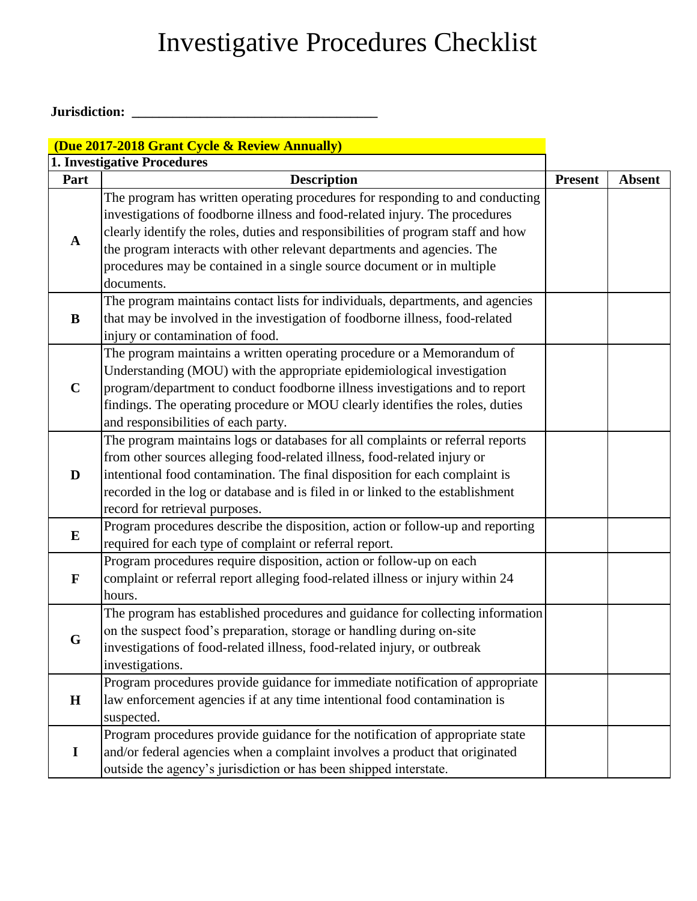### Investigative Procedures Checklist

#### **Jurisdiction: \_\_\_\_\_\_\_\_\_\_\_\_\_\_\_\_\_\_\_\_\_\_\_\_\_\_\_\_\_\_\_\_\_\_\_\_**

|              | (Due 2017-2018 Grant Cycle & Review Annually)                                                                                                                                                                                                                                                                                                                                                                       |                |               |
|--------------|---------------------------------------------------------------------------------------------------------------------------------------------------------------------------------------------------------------------------------------------------------------------------------------------------------------------------------------------------------------------------------------------------------------------|----------------|---------------|
|              | <b>1. Investigative Procedures</b>                                                                                                                                                                                                                                                                                                                                                                                  |                |               |
| Part         | <b>Description</b>                                                                                                                                                                                                                                                                                                                                                                                                  | <b>Present</b> | <b>Absent</b> |
| $\mathbf A$  | The program has written operating procedures for responding to and conducting<br>investigations of foodborne illness and food-related injury. The procedures<br>clearly identify the roles, duties and responsibilities of program staff and how<br>the program interacts with other relevant departments and agencies. The<br>procedures may be contained in a single source document or in multiple<br>documents. |                |               |
| B            | The program maintains contact lists for individuals, departments, and agencies<br>that may be involved in the investigation of foodborne illness, food-related<br>injury or contamination of food.                                                                                                                                                                                                                  |                |               |
| $\mathbf C$  | The program maintains a written operating procedure or a Memorandum of<br>Understanding (MOU) with the appropriate epidemiological investigation<br>program/department to conduct foodborne illness investigations and to report<br>findings. The operating procedure or MOU clearly identifies the roles, duties<br>and responsibilities of each party.                                                            |                |               |
| D            | The program maintains logs or databases for all complaints or referral reports<br>from other sources alleging food-related illness, food-related injury or<br>intentional food contamination. The final disposition for each complaint is<br>recorded in the log or database and is filed in or linked to the establishment<br>record for retrieval purposes.                                                       |                |               |
| ${\bf E}$    | Program procedures describe the disposition, action or follow-up and reporting<br>required for each type of complaint or referral report.                                                                                                                                                                                                                                                                           |                |               |
| $\mathbf{F}$ | Program procedures require disposition, action or follow-up on each<br>complaint or referral report alleging food-related illness or injury within 24<br>hours.                                                                                                                                                                                                                                                     |                |               |
| G            | The program has established procedures and guidance for collecting information<br>on the suspect food's preparation, storage or handling during on-site<br>investigations of food-related illness, food-related injury, or outbreak<br>investigations.                                                                                                                                                              |                |               |
| H            | Program procedures provide guidance for immediate notification of appropriate<br>law enforcement agencies if at any time intentional food contamination is<br>suspected.                                                                                                                                                                                                                                            |                |               |
| $\mathbf I$  | Program procedures provide guidance for the notification of appropriate state<br>and/or federal agencies when a complaint involves a product that originated<br>outside the agency's jurisdiction or has been shipped interstate.                                                                                                                                                                                   |                |               |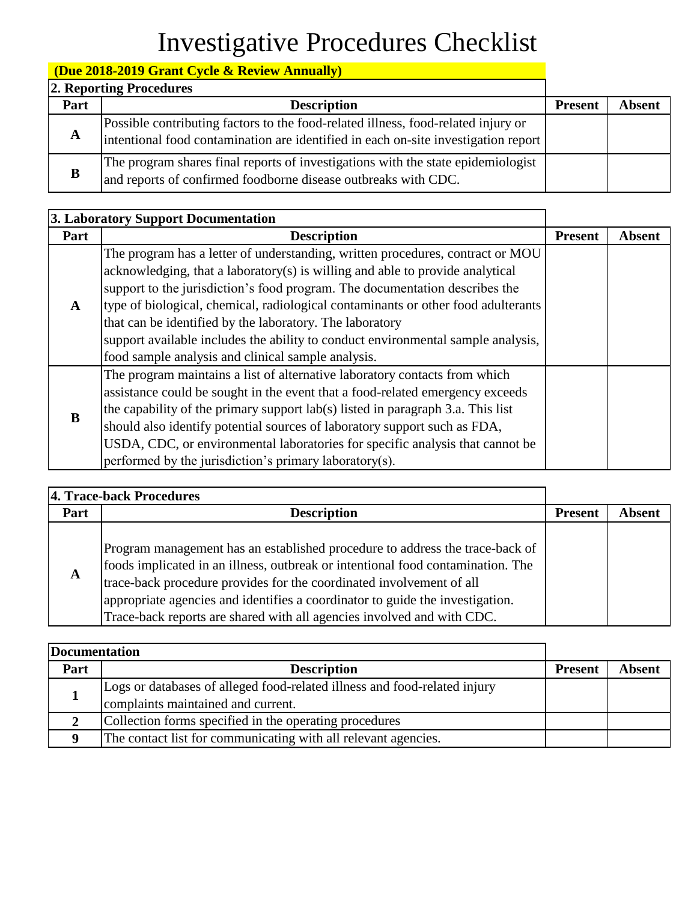# Investigative Procedures Checklist

### **(Due 2018-2019 Grant Cycle & Review Annually)**

|      | 2. Reporting Procedures                                                                                                                                                 |                |               |
|------|-------------------------------------------------------------------------------------------------------------------------------------------------------------------------|----------------|---------------|
| Part | <b>Description</b>                                                                                                                                                      | <b>Present</b> | <b>Absent</b> |
| A    | Possible contributing factors to the food-related illness, food-related injury or<br>intentional food contamination are identified in each on-site investigation report |                |               |
| B    | The program shares final reports of investigations with the state epidemiologist<br>and reports of confirmed foodborne disease outbreaks with CDC.                      |                |               |

| 3. Laboratory Support Documentation |                                                                                                                                                                                                                                                                                                                                                                                                                                                                                                                                           |                |               |
|-------------------------------------|-------------------------------------------------------------------------------------------------------------------------------------------------------------------------------------------------------------------------------------------------------------------------------------------------------------------------------------------------------------------------------------------------------------------------------------------------------------------------------------------------------------------------------------------|----------------|---------------|
| Part                                | <b>Description</b>                                                                                                                                                                                                                                                                                                                                                                                                                                                                                                                        | <b>Present</b> | <b>Absent</b> |
| A                                   | The program has a letter of understanding, written procedures, contract or MOU<br>acknowledging, that a laboratory(s) is willing and able to provide analytical<br>support to the jurisdiction's food program. The documentation describes the<br>type of biological, chemical, radiological contaminants or other food adulterants<br>that can be identified by the laboratory. The laboratory<br>support available includes the ability to conduct environmental sample analysis,<br>food sample analysis and clinical sample analysis. |                |               |
| B                                   | The program maintains a list of alternative laboratory contacts from which<br>assistance could be sought in the event that a food-related emergency exceeds<br>the capability of the primary support lab(s) listed in paragraph 3.a. This list<br>should also identify potential sources of laboratory support such as FDA,<br>USDA, CDC, or environmental laboratories for specific analysis that cannot be<br>performed by the jurisdiction's primary laboratory(s).                                                                    |                |               |

|      | 4. Trace-back Procedures                                                                                                                                                                                                                                                                                                                                                                           |                |               |
|------|----------------------------------------------------------------------------------------------------------------------------------------------------------------------------------------------------------------------------------------------------------------------------------------------------------------------------------------------------------------------------------------------------|----------------|---------------|
| Part | <b>Description</b>                                                                                                                                                                                                                                                                                                                                                                                 | <b>Present</b> | <b>Absent</b> |
| A    | Program management has an established procedure to address the trace-back of<br>foods implicated in an illness, outbreak or intentional food contamination. The<br>trace-back procedure provides for the coordinated involvement of all<br>appropriate agencies and identifies a coordinator to guide the investigation.<br>Trace-back reports are shared with all agencies involved and with CDC. |                |               |

| <b>Documentation</b> |                                                                                                                 |                |               |
|----------------------|-----------------------------------------------------------------------------------------------------------------|----------------|---------------|
| Part                 | <b>Description</b>                                                                                              | <b>Present</b> | <b>Absent</b> |
|                      | Logs or databases of alleged food-related illness and food-related injury<br>complaints maintained and current. |                |               |
|                      | Collection forms specified in the operating procedures                                                          |                |               |
|                      | The contact list for communicating with all relevant agencies.                                                  |                |               |